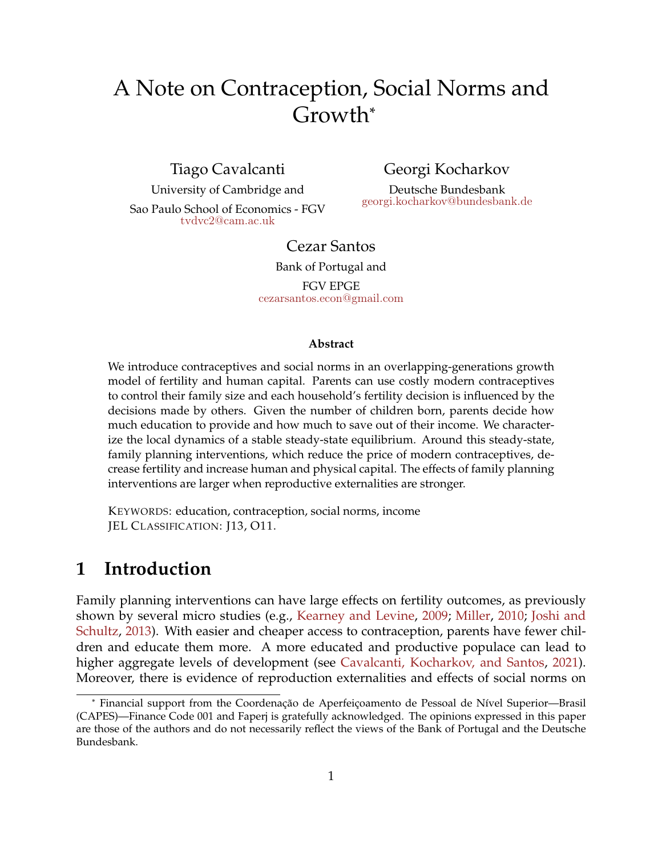# <span id="page-0-0"></span>A Note on Contraception, Social Norms and Growth\*

Tiago Cavalcanti

University of Cambridge and Sao Paulo School of Economics - FGV [tvdvc2@cam.ac.uk](mailto:tvdvc2@cam.ac.uk)

Georgi Kocharkov

Deutsche Bundesbank [georgi.kocharkov@bundesbank.de](mailto:georgi.kocharkov@bundesbank.de)

### Cezar Santos

Bank of Portugal and FGV EPGE [cezarsantos.econ@gmail.com](mailto:cezarsantos.econ@gmail.com)

#### **Abstract**

We introduce contraceptives and social norms in an overlapping-generations growth model of fertility and human capital. Parents can use costly modern contraceptives to control their family size and each household's fertility decision is influenced by the decisions made by others. Given the number of children born, parents decide how much education to provide and how much to save out of their income. We characterize the local dynamics of a stable steady-state equilibrium. Around this steady-state, family planning interventions, which reduce the price of modern contraceptives, decrease fertility and increase human and physical capital. The effects of family planning interventions are larger when reproductive externalities are stronger.

KEYWORDS: education, contraception, social norms, income JEL CLASSIFICATION: J13, O11.

# **1 Introduction**

Family planning interventions can have large effects on fertility outcomes, as previously shown by several micro studies (e.g., [Kearney and Levine,](#page-11-0) [2009;](#page-11-0) [Miller,](#page-11-1) [2010;](#page-11-1) [Joshi and](#page-11-2) [Schultz,](#page-11-2) [2013\)](#page-11-2). With easier and cheaper access to contraception, parents have fewer children and educate them more. A more educated and productive populace can lead to higher aggregate levels of development (see [Cavalcanti, Kocharkov, and Santos,](#page-10-0) [2021\)](#page-10-0). Moreover, there is evidence of reproduction externalities and effects of social norms on

<sup>\*</sup> Financial support from the Coordenação de Aperfeiçoamento de Pessoal de Nível Superior—Brasil (CAPES)—Finance Code 001 and Faperj is gratefully acknowledged. The opinions expressed in this paper are those of the authors and do not necessarily reflect the views of the Bank of Portugal and the Deutsche Bundesbank.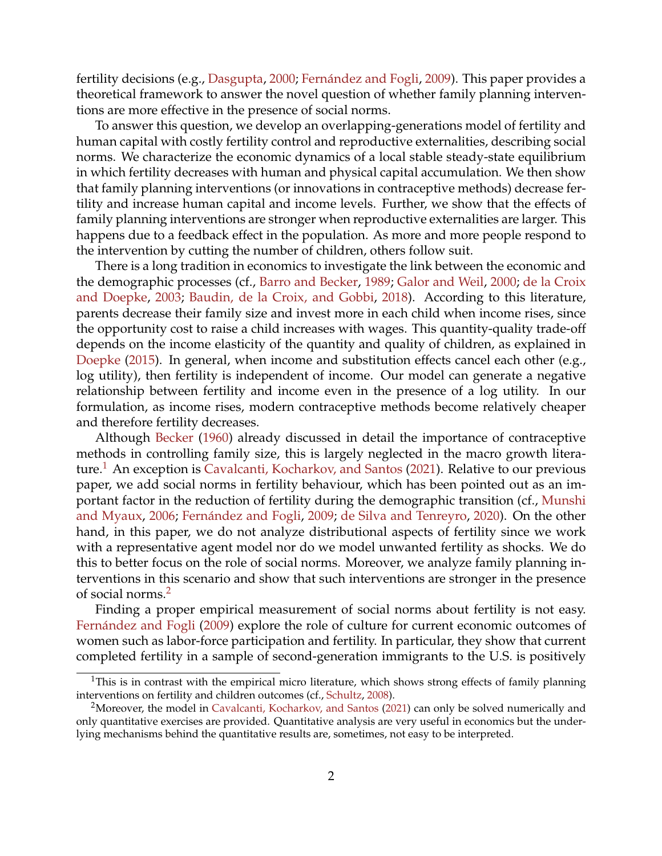<span id="page-1-2"></span>fertility decisions (e.g., [Dasgupta,](#page-10-1) [2000;](#page-10-1) [Fernández and Fogli,](#page-10-2) [2009\)](#page-10-2). This paper provides a theoretical framework to answer the novel question of whether family planning interventions are more effective in the presence of social norms.

To answer this question, we develop an overlapping-generations model of fertility and human capital with costly fertility control and reproductive externalities, describing social norms. We characterize the economic dynamics of a local stable steady-state equilibrium in which fertility decreases with human and physical capital accumulation. We then show that family planning interventions (or innovations in contraceptive methods) decrease fertility and increase human capital and income levels. Further, we show that the effects of family planning interventions are stronger when reproductive externalities are larger. This happens due to a feedback effect in the population. As more and more people respond to the intervention by cutting the number of children, others follow suit.

There is a long tradition in economics to investigate the link between the economic and the demographic processes (cf., [Barro and Becker,](#page-10-3) [1989;](#page-10-3) [Galor and Weil,](#page-11-3) [2000;](#page-11-3) [de la Croix](#page-10-4) [and Doepke,](#page-10-4) [2003;](#page-10-4) [Baudin, de la Croix, and Gobbi,](#page-10-5) [2018\)](#page-10-5). According to this literature, parents decrease their family size and invest more in each child when income rises, since the opportunity cost to raise a child increases with wages. This quantity-quality trade-off depends on the income elasticity of the quantity and quality of children, as explained in [Doepke](#page-10-6) [\(2015\)](#page-10-6). In general, when income and substitution effects cancel each other (e.g., log utility), then fertility is independent of income. Our model can generate a negative relationship between fertility and income even in the presence of a log utility. In our formulation, as income rises, modern contraceptive methods become relatively cheaper and therefore fertility decreases.

Although [Becker](#page-10-7) [\(1960\)](#page-10-7) already discussed in detail the importance of contraceptive methods in controlling family size, this is largely neglected in the macro growth litera-ture.<sup>[1](#page-1-0)</sup> An exception is [Cavalcanti, Kocharkov, and Santos](#page-10-0) [\(2021\)](#page-10-0). Relative to our previous paper, we add social norms in fertility behaviour, which has been pointed out as an important factor in the reduction of fertility during the demographic transition (cf., [Munshi](#page-11-4) [and Myaux,](#page-11-4) [2006;](#page-11-4) [Fernández and Fogli,](#page-10-2) [2009;](#page-10-2) [de Silva and Tenreyro,](#page-10-8) [2020\)](#page-10-8). On the other hand, in this paper, we do not analyze distributional aspects of fertility since we work with a representative agent model nor do we model unwanted fertility as shocks. We do this to better focus on the role of social norms. Moreover, we analyze family planning interventions in this scenario and show that such interventions are stronger in the presence of social norms.[2](#page-1-1)

Finding a proper empirical measurement of social norms about fertility is not easy. [Fernández and Fogli](#page-10-2) [\(2009\)](#page-10-2) explore the role of culture for current economic outcomes of women such as labor-force participation and fertility. In particular, they show that current completed fertility in a sample of second-generation immigrants to the U.S. is positively

<span id="page-1-0"></span><sup>&</sup>lt;sup>1</sup>This is in contrast with the empirical micro literature, which shows strong effects of family planning interventions on fertility and children outcomes (cf., [Schultz,](#page-11-5) [2008\)](#page-11-5).

<span id="page-1-1"></span><sup>&</sup>lt;sup>2</sup>Moreover, the model in [Cavalcanti, Kocharkov, and Santos](#page-10-0) [\(2021\)](#page-10-0) can only be solved numerically and only quantitative exercises are provided. Quantitative analysis are very useful in economics but the underlying mechanisms behind the quantitative results are, sometimes, not easy to be interpreted.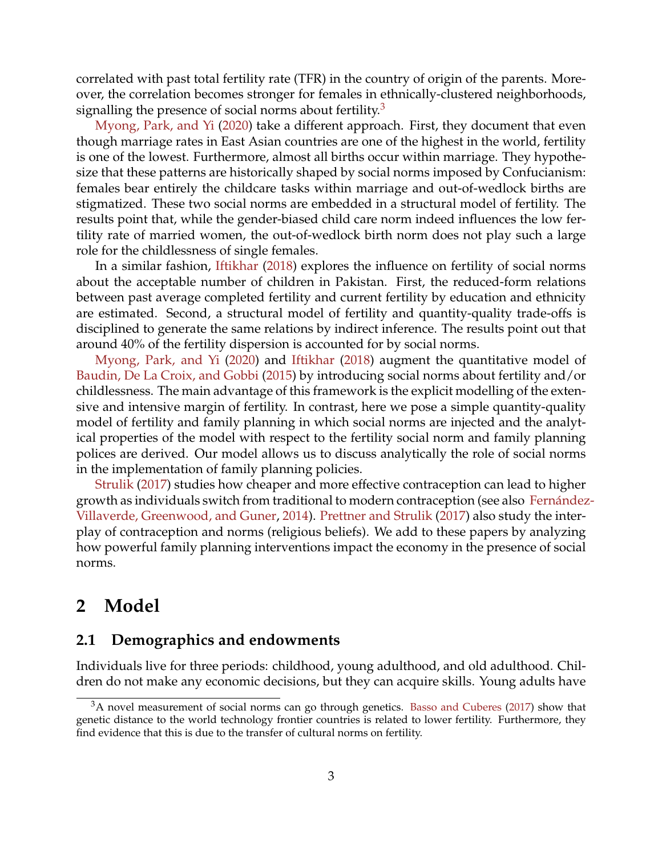<span id="page-2-1"></span>correlated with past total fertility rate (TFR) in the country of origin of the parents. Moreover, the correlation becomes stronger for females in ethnically-clustered neighborhoods, signalling the presence of social norms about fertility.<sup>[3](#page-2-0)</sup>

[Myong, Park, and Yi](#page-11-6) [\(2020\)](#page-11-6) take a different approach. First, they document that even though marriage rates in East Asian countries are one of the highest in the world, fertility is one of the lowest. Furthermore, almost all births occur within marriage. They hypothesize that these patterns are historically shaped by social norms imposed by Confucianism: females bear entirely the childcare tasks within marriage and out-of-wedlock births are stigmatized. These two social norms are embedded in a structural model of fertility. The results point that, while the gender-biased child care norm indeed influences the low fertility rate of married women, the out-of-wedlock birth norm does not play such a large role for the childlessness of single females.

In a similar fashion, [Iftikhar](#page-11-7) [\(2018\)](#page-11-7) explores the influence on fertility of social norms about the acceptable number of children in Pakistan. First, the reduced-form relations between past average completed fertility and current fertility by education and ethnicity are estimated. Second, a structural model of fertility and quantity-quality trade-offs is disciplined to generate the same relations by indirect inference. The results point out that around 40% of the fertility dispersion is accounted for by social norms.

[Myong, Park, and Yi](#page-11-6) [\(2020\)](#page-11-6) and [Iftikhar](#page-11-7) [\(2018\)](#page-11-7) augment the quantitative model of [Baudin, De La Croix, and Gobbi](#page-10-9) [\(2015\)](#page-10-9) by introducing social norms about fertility and/or childlessness. The main advantage of this framework is the explicit modelling of the extensive and intensive margin of fertility. In contrast, here we pose a simple quantity-quality model of fertility and family planning in which social norms are injected and the analytical properties of the model with respect to the fertility social norm and family planning polices are derived. Our model allows us to discuss analytically the role of social norms in the implementation of family planning policies.

[Strulik](#page-11-8) [\(2017\)](#page-11-8) studies how cheaper and more effective contraception can lead to higher growth as individuals switch from traditional to modern contraception (see also [Fernández](#page-10-10)-[Villaverde, Greenwood, and Guner,](#page-10-10) [2014\)](#page-10-10). [Prettner and Strulik](#page-11-9) [\(2017\)](#page-11-9) also study the interplay of contraception and norms (religious beliefs). We add to these papers by analyzing how powerful family planning interventions impact the economy in the presence of social norms.

# **2 Model**

### **2.1 Demographics and endowments**

Individuals live for three periods: childhood, young adulthood, and old adulthood. Children do not make any economic decisions, but they can acquire skills. Young adults have

<span id="page-2-0"></span> $3A$  novel measurement of social norms can go through genetics. [Basso and Cuberes](#page-10-11) [\(2017\)](#page-10-11) show that genetic distance to the world technology frontier countries is related to lower fertility. Furthermore, they find evidence that this is due to the transfer of cultural norms on fertility.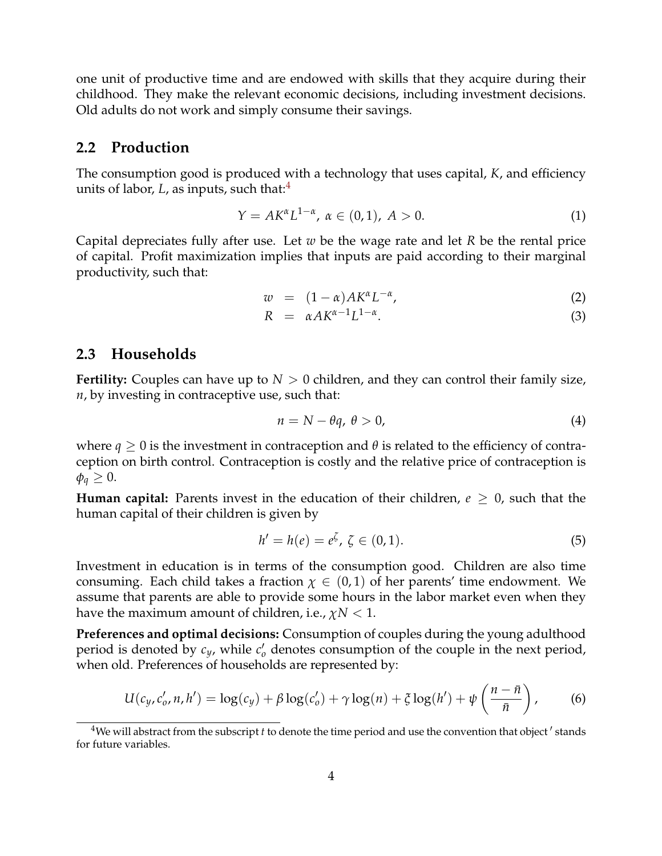one unit of productive time and are endowed with skills that they acquire during their childhood. They make the relevant economic decisions, including investment decisions. Old adults do not work and simply consume their savings.

#### **2.2 Production**

The consumption good is produced with a technology that uses capital, *K*, and efficiency units of labor,  $L$ , as inputs, such that: $4$ 

$$
Y = AK^{\alpha}L^{1-\alpha}, \ \alpha \in (0,1), \ A > 0.
$$
 (1)

Capital depreciates fully after use. Let *w* be the wage rate and let *R* be the rental price of capital. Profit maximization implies that inputs are paid according to their marginal productivity, such that:

$$
w = (1 - \alpha) A K^{\alpha} L^{-\alpha}, \qquad (2)
$$

$$
R = \alpha A K^{\alpha - 1} L^{1 - \alpha}.
$$
 (3)

#### **2.3 Households**

**Fertility:** Couples can have up to  $N > 0$  children, and they can control their family size, *n*, by investing in contraceptive use, such that:

<span id="page-3-2"></span>
$$
n = N - \theta q, \ \theta > 0,\tag{4}
$$

where  $q \geq 0$  is the investment in contraception and  $\theta$  is related to the efficiency of contraception on birth control. Contraception is costly and the relative price of contraception is  $\phi_q \geq 0$ .

**Human capital:** Parents invest in the education of their children,  $e \geq 0$ , such that the human capital of their children is given by

<span id="page-3-3"></span>
$$
h' = h(e) = e^{\zeta}, \ \zeta \in (0, 1). \tag{5}
$$

Investment in education is in terms of the consumption good. Children are also time consuming. Each child takes a fraction  $\chi \in (0,1)$  of her parents' time endowment. We assume that parents are able to provide some hours in the labor market even when they have the maximum amount of children, i.e., *χN* < 1.

**Preferences and optimal decisions:** Consumption of couples during the young adulthood period is denoted by  $c_y$ , while  $c'_0$  denotes consumption of the couple in the next period, when old. Preferences of households are represented by:

<span id="page-3-1"></span>
$$
U(c_y, c'_0, n, h') = \log(c_y) + \beta \log(c'_0) + \gamma \log(n) + \xi \log(h') + \psi\left(\frac{n - \bar{n}}{\bar{n}}\right),\tag{6}
$$

<span id="page-3-0"></span> $^4$ We will abstract from the subscript  $t$  to denote the time period and use the convention that object  $^\prime$  stands for future variables.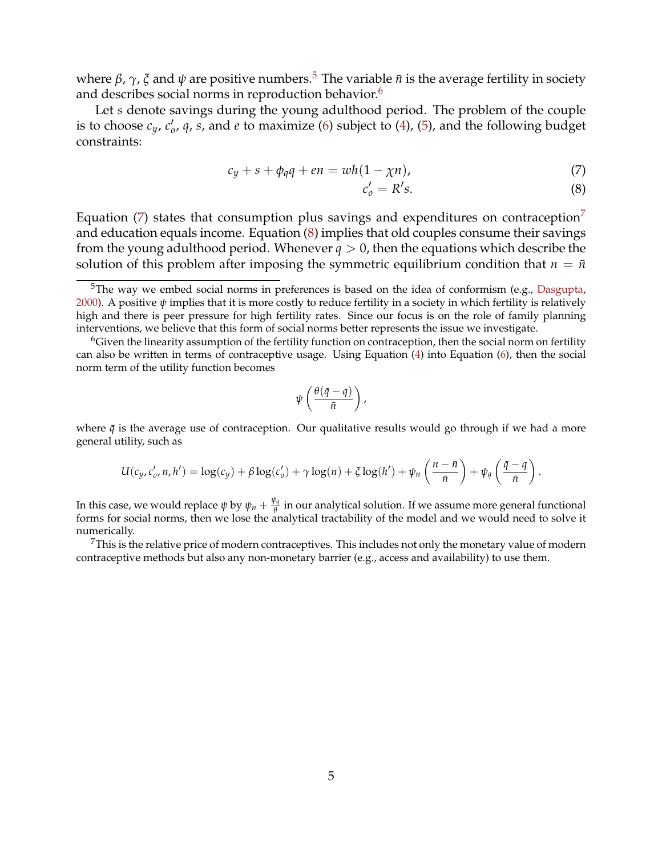<span id="page-4-4"></span>where *β*,  $\gamma$ ,  $\zeta$  and  $\psi$  are positive numbers.<sup>[5](#page-4-0)</sup> The variable  $\bar{n}$  is the average fertility in society and describes social norms in reproduction behavior.<sup>[6](#page-4-1)</sup>

Let *s* denote savings during the young adulthood period. The problem of the couple is to choose  $c_y$ ,  $c'_0$ ,  $q$ ,  $s$ , and  $e$  to maximize [\(6\)](#page-3-1) subject to [\(4\)](#page-3-2), [\(5\)](#page-3-3), and the following budget constraints:

<span id="page-4-2"></span>
$$
c_y + s + \phi_q q + en = wh(1 - \chi n), \qquad (7)
$$

$$
c_o' = R's.\t\t(8)
$$

Equation [\(7\)](#page-4-2) states that consumption plus savings and expenditures on contraception<sup>[7](#page-4-3)</sup> and education equals income. Equation [\(8\)](#page-4-2) implies that old couples consume their savings from the young adulthood period. Whenever  $q > 0$ , then the equations which describe the solution of this problem after imposing the symmetric equilibrium condition that  $n = \bar{n}$ 

$$
\psi\left(\frac{\theta(\bar{q}-q)}{\bar{n}}\right),\,
$$

where  $\bar{q}$  is the average use of contraception. Our qualitative results would go through if we had a more general utility, such as

$$
U(c_y, c'_0, n, h') = \log(c_y) + \beta \log(c'_0) + \gamma \log(n) + \xi \log(h') + \psi_n\left(\frac{n - \bar{n}}{\bar{n}}\right) + \psi_q\left(\frac{\bar{q} - q}{\bar{n}}\right).
$$

In this case, we would replace  $\psi$  by  $\psi_n + \frac{\psi_q}{\theta}$ *θ* in our analytical solution. If we assume more general functional forms for social norms, then we lose the analytical tractability of the model and we would need to solve it numerically.

<span id="page-4-3"></span><sup>7</sup>This is the relative price of modern contraceptives. This includes not only the monetary value of modern contraceptive methods but also any non-monetary barrier (e.g., access and availability) to use them.

<span id="page-4-0"></span> $5$ The way we embed social norms in preferences is based on the idea of conformism (e.g., [Dasgupta,](#page-10-1) [2000\)](#page-10-1). A positive *ψ* implies that it is more costly to reduce fertility in a society in which fertility is relatively high and there is peer pressure for high fertility rates. Since our focus is on the role of family planning interventions, we believe that this form of social norms better represents the issue we investigate.

<span id="page-4-1"></span><sup>6</sup>Given the linearity assumption of the fertility function on contraception, then the social norm on fertility can also be written in terms of contraceptive usage. Using Equation [\(4\)](#page-3-2) into Equation [\(6\)](#page-3-1), then the social norm term of the utility function becomes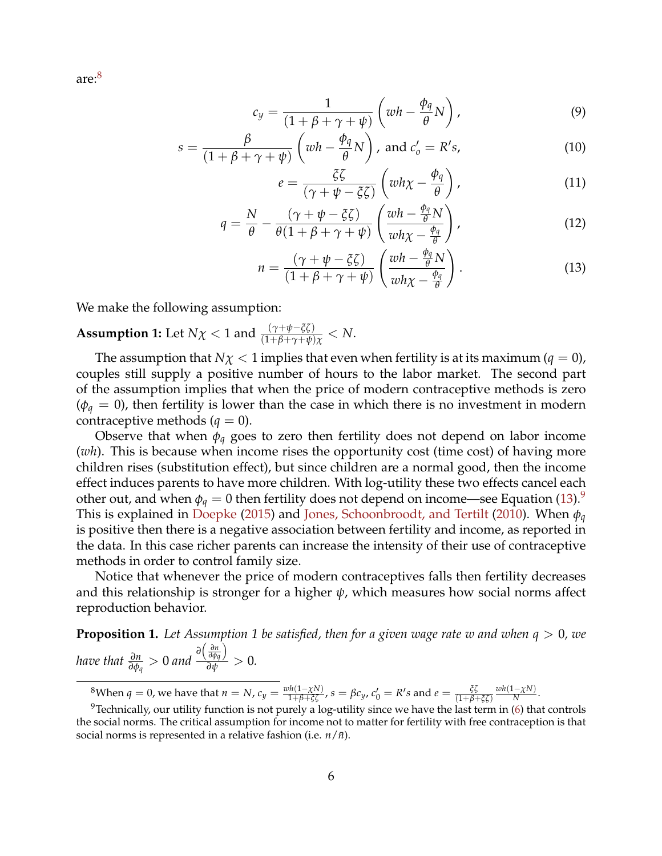<span id="page-5-3"></span>are:[8](#page-5-0)

<span id="page-5-1"></span>
$$
c_y = \frac{1}{(1 + \beta + \gamma + \psi)} \left( wh - \frac{\phi_q}{\theta} N \right), \tag{9}
$$

$$
s = \frac{\beta}{(1 + \beta + \gamma + \psi)} \left( wh - \frac{\phi_q}{\theta} N \right), \text{ and } c'_o = R's,
$$
\n(10)

$$
e = \frac{\xi \zeta}{(\gamma + \psi - \xi \zeta)} \left( w h \chi - \frac{\phi_q}{\theta} \right), \tag{11}
$$

$$
q = \frac{N}{\theta} - \frac{(\gamma + \psi - \xi \zeta)}{\theta (1 + \beta + \gamma + \psi)} \left( \frac{wh - \frac{\phi_q}{\theta} N}{wh\chi - \frac{\phi_q}{\theta}} \right),
$$
(12)

$$
n = \frac{(\gamma + \psi - \xi \zeta)}{(1 + \beta + \gamma + \psi)} \left( \frac{wh - \frac{\phi_q}{\theta} N}{wh\chi - \frac{\phi_q}{\theta}} \right).
$$
 (13)

We make the following assumption:

# **Assumption 1:** Let  $N\chi < 1$  and  $\frac{(\gamma + \psi - \xi\zeta)}{(1 + \beta + \gamma + \psi)\chi} < N$ .

The assumption that  $N\chi < 1$  implies that even when fertility is at its maximum ( $q = 0$ ), couples still supply a positive number of hours to the labor market. The second part of the assumption implies that when the price of modern contraceptive methods is zero  $(\phi_q = 0)$ , then fertility is lower than the case in which there is no investment in modern contraceptive methods  $(q = 0)$ .

Observe that when *φ<sup>q</sup>* goes to zero then fertility does not depend on labor income (*wh*). This is because when income rises the opportunity cost (time cost) of having more children rises (substitution effect), but since children are a normal good, then the income effect induces parents to have more children. With log-utility these two effects cancel each other out, and when  $\phi_q = 0$  then fertility does not depend on income—see Equation [\(13\)](#page-5-1).<sup>[9](#page-5-2)</sup> This is explained in [Doepke](#page-10-6) [\(2015\)](#page-10-6) and [Jones, Schoonbroodt, and Tertilt](#page-11-10) [\(2010\)](#page-11-10). When *φ<sup>q</sup>* is positive then there is a negative association between fertility and income, as reported in the data. In this case richer parents can increase the intensity of their use of contraceptive methods in order to control family size.

Notice that whenever the price of modern contraceptives falls then fertility decreases and this relationship is stronger for a higher *ψ*, which measures how social norms affect reproduction behavior.

<span id="page-5-4"></span>**Proposition 1.** *Let Assumption 1 be satisfied, then for a given wage rate w and when q* > 0*, we have that*  $\frac{\partial n}{\partial \phi_q} > 0$  and  $\frac{\partial \left( \frac{\partial n}{\partial \phi_q} \right)}{\partial \psi}$  $\frac{\partial \varphi_q}{\partial \psi} > 0.$ 

<span id="page-5-2"></span><span id="page-5-0"></span> ${}^8$ When  $q=0$ , we have that  $n=N$ ,  $c_y=\frac{wh(1-\chi N)}{1+\beta+\xi\zeta}$ ,  $s=\beta c_y$ ,  $c_0'=R's$  and  $e=\frac{\xi\zeta}{(1+\beta+\xi\zeta)}$  $\frac{wh(1-\chi N)}{N}$ .

<sup>&</sup>lt;sup>9</sup>Technically, our utility function is not purely a log-utility since we have the last term in [\(6\)](#page-3-1) that controls the social norms. The critical assumption for income not to matter for fertility with free contraception is that social norms is represented in a relative fashion (i.e.  $n/\bar{n}$ ).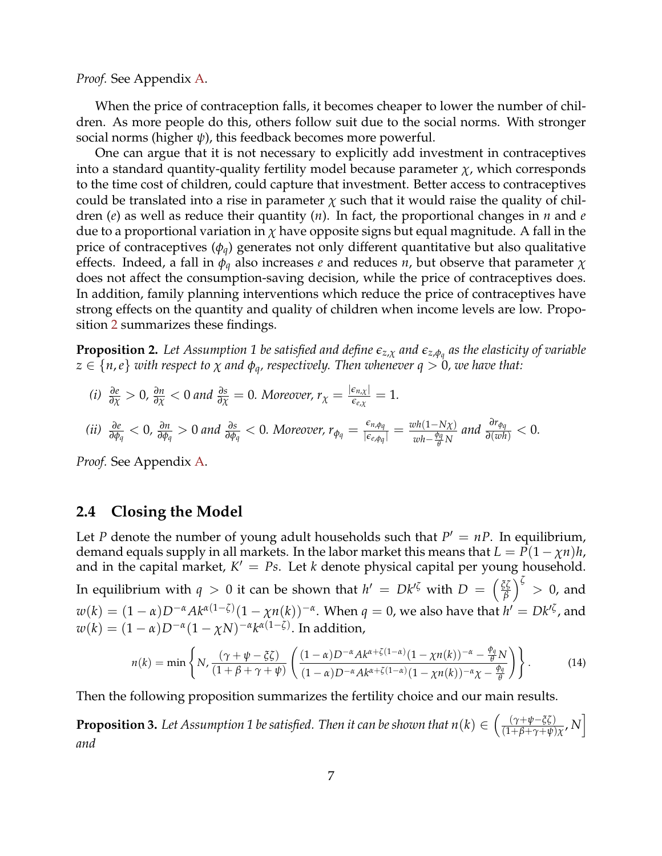*Proof.* See Appendix [A.](#page-12-0)

When the price of contraception falls, it becomes cheaper to lower the number of children. As more people do this, others follow suit due to the social norms. With stronger social norms (higher *ψ*), this feedback becomes more powerful.

One can argue that it is not necessary to explicitly add investment in contraceptives into a standard quantity-quality fertility model because parameter  $\chi$ , which corresponds to the time cost of children, could capture that investment. Better access to contraceptives could be translated into a rise in parameter  $\chi$  such that it would raise the quality of children (*e*) as well as reduce their quantity (*n*). In fact, the proportional changes in *n* and *e* due to a proportional variation in *χ* have opposite signs but equal magnitude. A fall in the price of contraceptives (*φq*) generates not only different quantitative but also qualitative effects. Indeed, a fall in *φ<sup>q</sup>* also increases *e* and reduces *n*, but observe that parameter *χ* does not affect the consumption-saving decision, while the price of contraceptives does. In addition, family planning interventions which reduce the price of contraceptives have strong effects on the quantity and quality of children when income levels are low. Proposition [2](#page-6-0) summarizes these findings.

<span id="page-6-0"></span>**Proposition 2.** *Let Assumption 1 be satisfied and define ez*,*<sup>χ</sup> and ez*,*φ<sup>q</sup> as the elasticity of variable*  $z \in \{n, e\}$  *with respect to*  $\chi$  *and*  $\phi_q$ *, respectively. Then whenever*  $q > 0$ *, we have that:* 

(i) 
$$
\frac{\partial e}{\partial \chi} > 0
$$
,  $\frac{\partial n}{\partial \chi} < 0$  and  $\frac{\partial s}{\partial \chi} = 0$ . Moreover,  $r_{\chi} = \frac{|\epsilon_{n,\chi}|}{\epsilon_{e,\chi}} = 1$ .  
\n(ii)  $\frac{\partial e}{\partial \phi_q} < 0$ ,  $\frac{\partial n}{\partial \phi_q} > 0$  and  $\frac{\partial s}{\partial \phi_q} < 0$ . Moreover,  $r_{\phi_q} = \frac{\epsilon_{n,\phi_q}}{|\epsilon_{e,\phi_q}|} = \frac{wh(1-N\chi)}{wh - \frac{\phi_q}{\theta}N}$  and  $\frac{\partial r_{\phi_q}}{\partial (wh)} < 0$ .

*Proof.* See Appendix [A.](#page-12-0)

#### **2.4 Closing the Model**

Let *P* denote the number of young adult households such that  $P' = nP$ . In equilibrium, demand equals supply in all markets. In the labor market this means that  $L = P(1 - \chi n)h$ , and in the capital market,  $K' = Ps$ . Let *k* denote physical capital per young household. In equilibrium with  $q > 0$  it can be shown that  $h' = Dk^{\prime\zeta}$  with  $D = \begin{pmatrix} \frac{\zeta\zeta}{\beta} \end{pmatrix}$ *β*  $\int$ <sup> $\zeta$ </sup> > 0, and  $w(k) = (1 - \alpha) D^{-\alpha} A k^{\alpha(1 - \zeta)} (1 - \chi n(k))^{-\alpha}$ . When  $q = 0$ , we also have that  $h' = D k'^{\zeta}$ , and  $w(k) = (1 - \alpha)D^{-\alpha}(1 - \chi N)^{-\alpha}k^{\alpha(1-\zeta)}.$  In addition,

<span id="page-6-2"></span>
$$
n(k) = \min\left\{N, \frac{(\gamma + \psi - \xi\zeta)}{(1 + \beta + \gamma + \psi)} \left(\frac{(1 - \alpha)D^{-\alpha}Ak^{\alpha + \zeta(1 - \alpha)}(1 - \chi n(k))^{-\alpha} - \frac{\phi_q}{\theta}N}{(1 - \alpha)D^{-\alpha}Ak^{\alpha + \zeta(1 - \alpha)}(1 - \chi n(k))^{-\alpha}\chi - \frac{\phi_q}{\theta}}\right)\right\}.
$$
(14)

Then the following proposition summarizes the fertility choice and our main results.

<span id="page-6-1"></span>**Proposition 3.** Let Assumption 1 be satisfied. Then it can be shown that  $n(k) \in \left(\frac{(\gamma + \psi - \xi\zeta)}{(1 + \beta + \gamma + \psi)}\right)$  $\frac{(\gamma + \psi - \xi \zeta)}{(1 + \beta + \gamma + \psi)\chi}, N$ *and*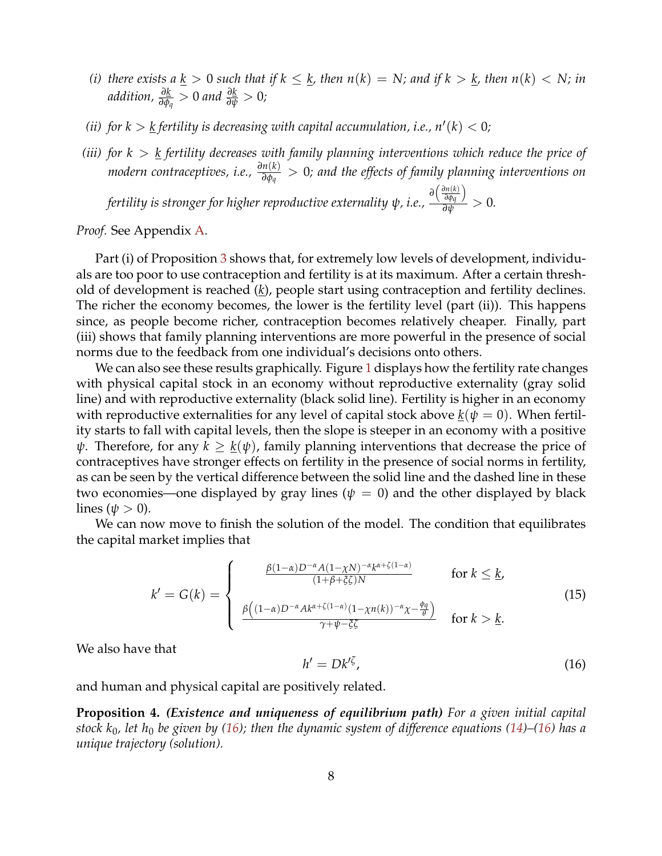- *(i) there exists a* <u> $k > 0$  *such that if*  $k \leq k$ , *then*  $n(k) = N$ *; and if*  $k > k$ , *then*  $n(k) < N$ *; in*</u> *addition, <sup>∂</sup><sup>k</sup> ∂φq* > 0 *and <sup>∂</sup><sup>k</sup> ∂ψ* > <sup>0</sup>*;*
- *(ii)* for  $k > k$  fertility is decreasing with capital accumulation, i.e.,  $n'(k) < 0$ ;
- *(iii) for k* > *k fertility decreases with family planning interventions which reduce the price of modern contraceptives, i.e., <sup>∂</sup>n*(*k*) *∂φq* > 0*; and the effects of family planning interventions on*

*fertility is stronger for higher reproductive externality ψ, i.e.,*  $\frac{\partial \left( \frac{\partial n(k)}{\partial \phi_q} \right)}{\partial \psi}$ *∂φq*  $\frac{\partial \varphi_q}{\partial \psi}$  > 0.

*Proof.* See Appendix [A.](#page-12-0)

Part (i) of Proposition [3](#page-6-1) shows that, for extremely low levels of development, individuals are too poor to use contraception and fertility is at its maximum. After a certain threshold of development is reached (*k*), people start using contraception and fertility declines. The richer the economy becomes, the lower is the fertility level (part (ii)). This happens since, as people become richer, contraception becomes relatively cheaper. Finally, part (iii) shows that family planning interventions are more powerful in the presence of social norms due to the feedback from one individual's decisions onto others.

We can also see these results graphically. Figure [1](#page-8-0) displays how the fertility rate changes with physical capital stock in an economy without reproductive externality (gray solid line) and with reproductive externality (black solid line). Fertility is higher in an economy with reproductive externalities for any level of capital stock above  $\underline{k}(\psi = 0)$ . When fertility starts to fall with capital levels, then the slope is steeper in an economy with a positive *ψ*. Therefore, for any  $k \geq k(\psi)$ , family planning interventions that decrease the price of contraceptives have stronger effects on fertility in the presence of social norms in fertility, as can be seen by the vertical difference between the solid line and the dashed line in these two economies—one displayed by gray lines ( $\psi = 0$ ) and the other displayed by black lines ( $\psi > 0$ ).

We can now move to finish the solution of the model. The condition that equilibrates the capital market implies that

<span id="page-7-2"></span>
$$
k' = G(k) = \begin{cases} \frac{\beta(1-\alpha)D^{-\alpha}A(1-\chi N)^{-\alpha}k^{\alpha+\zeta(1-\alpha)}}{(1+\beta+\zeta\zeta)N} & \text{for } k \leq \underline{k},\\ \frac{\beta((1-\alpha)D^{-\alpha}Ak^{\alpha+\zeta(1-\alpha)}(1-\chi n(k))^{-\alpha}\chi^{-\frac{\theta q}{\theta}})}{\gamma+\psi-\zeta\zeta} & \text{for } k > \underline{k}. \end{cases}
$$
(15)

We also have that

<span id="page-7-0"></span>
$$
h' = Dk^{\prime \zeta},\tag{16}
$$

and human and physical capital are positively related.

<span id="page-7-1"></span>**Proposition 4.** *(Existence and uniqueness of equilibrium path) For a given initial capital stock k*0*, let h*<sup>0</sup> *be given by [\(16\)](#page-7-0); then the dynamic system of difference equations [\(14\)](#page-6-2)–[\(16\)](#page-7-0) has a unique trajectory (solution).*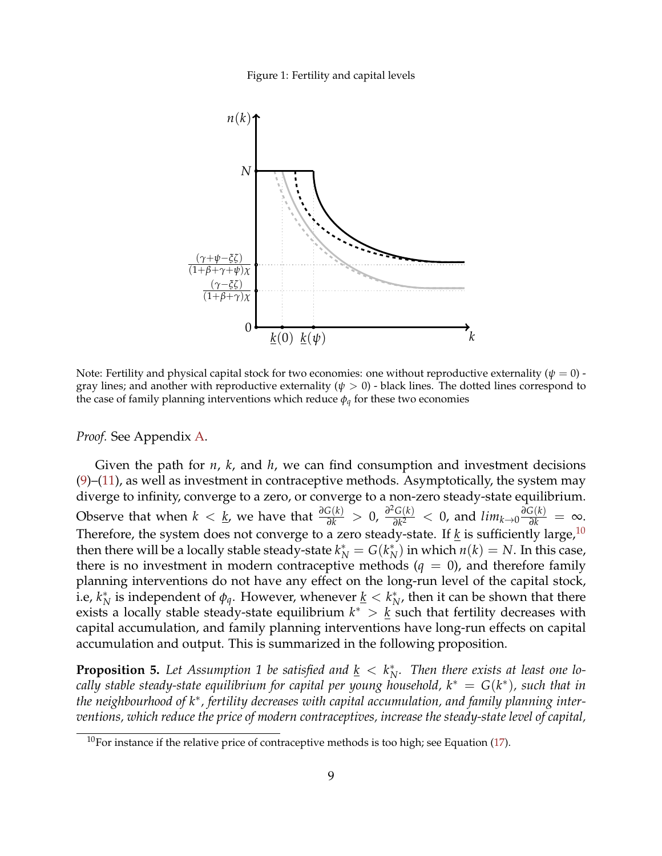

<span id="page-8-0"></span>

Note: Fertility and physical capital stock for two economies: one without reproductive externality (*ψ* = 0) gray lines; and another with reproductive externality ( $\psi > 0$ ) - black lines. The dotted lines correspond to the case of family planning interventions which reduce *φq* for these two economies

*Proof.* See Appendix [A.](#page-12-0)

Given the path for *n*, *k*, and *h*, we can find consumption and investment decisions  $(9)$ – $(11)$ , as well as investment in contraceptive methods. Asymptotically, the system may diverge to infinity, converge to a zero, or converge to a non-zero steady-state equilibrium. Observe that when  $k < \underline{k}$ , we have that  $\frac{\partial G(k)}{\partial k} > 0$ ,  $\frac{\partial^2 G(k)}{\partial k^2}$  $\frac{G(k)}{\partial k^2}$  < 0, and  $lim_{k\to 0} \frac{\partial G(k)}{\partial k} = \infty$ . Therefore, the system does not converge to a zero steady-state. If  $k$  is sufficiently large,  $10$ then there will be a locally stable steady-state  $k^*_N = G(k^*_N)$  $N(N)$  in which  $n(k) = N$ . In this case, there is no investment in modern contraceptive methods  $(q = 0)$ , and therefore family planning interventions do not have any effect on the long-run level of the capital stock, i.e, *k* ∗  $\frac{k}{N}$  is independent of  $\phi_q$ . However, whenever  $\underline{k} < k_N^*$  $_{N}^{\ast}$ , then it can be shown that there exists a locally stable steady-state equilibrium  $k^* > k$  such that fertility decreases with capital accumulation, and family planning interventions have long-run effects on capital accumulation and output. This is summarized in the following proposition.

<span id="page-8-2"></span>**Proposition 5.** Let Assumption 1 be satisfied and  $\underline{k} < k_N^*$ *N . Then there exists at least one locally stable steady-state equilibrium for capital per young household, k*<sup>∗</sup> = *G*(*k* ∗ )*, such that in the neighbourhood of k*<sup>∗</sup> *, fertility decreases with capital accumulation, and family planning interventions, which reduce the price of modern contraceptives, increase the steady-state level of capital,*

<span id="page-8-1"></span><sup>&</sup>lt;sup>10</sup>For instance if the relative price of contraceptive methods is too high; see Equation [\(17\)](#page-12-1).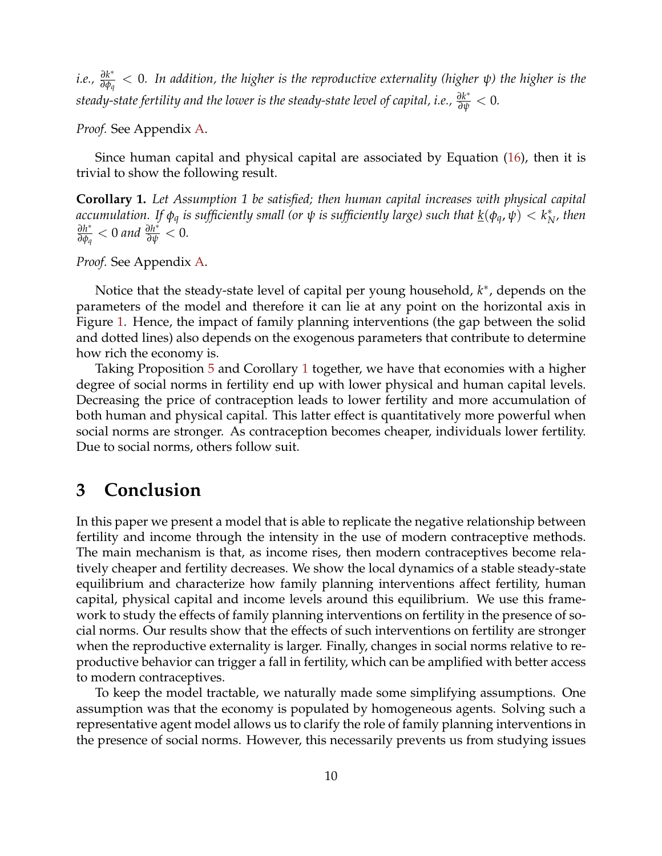*i.e., <sup>∂</sup><sup>k</sup>* ∗ *∂φq* < 0*. In addition, the higher is the reproductive externality (higher ψ) the higher is the steady-state fertility and the lower is the steady-state level of capital, i.e., <sup>∂</sup><sup>k</sup>* ∗ *∂ψ* < <sup>0</sup>*.*

*Proof.* See Appendix [A.](#page-12-0)

Since human capital and physical capital are associated by Equation [\(16\)](#page-7-0), then it is trivial to show the following result.

<span id="page-9-0"></span>**Corollary 1.** *Let Assumption 1 be satisfied; then human capital increases with physical capital accumulation. If*  $\phi_q$  *is sufficiently small (or*  $\psi$  *is sufficiently large) such that*  $\underline{k}(\phi_q, \psi) < k_N^*$ *N , then ∂h* ∗  $\frac{\partial h^*}{\partial \phi_q} < 0$  and  $\frac{\partial h^*}{\partial \psi} < 0$ .

*Proof.* See Appendix [A.](#page-12-0)

Notice that the steady-state level of capital per young household,  $k^*$ , depends on the parameters of the model and therefore it can lie at any point on the horizontal axis in Figure [1.](#page-8-0) Hence, the impact of family planning interventions (the gap between the solid and dotted lines) also depends on the exogenous parameters that contribute to determine how rich the economy is.

Taking Proposition [5](#page-8-2) and Corollary [1](#page-9-0) together, we have that economies with a higher degree of social norms in fertility end up with lower physical and human capital levels. Decreasing the price of contraception leads to lower fertility and more accumulation of both human and physical capital. This latter effect is quantitatively more powerful when social norms are stronger. As contraception becomes cheaper, individuals lower fertility. Due to social norms, others follow suit.

# **3 Conclusion**

In this paper we present a model that is able to replicate the negative relationship between fertility and income through the intensity in the use of modern contraceptive methods. The main mechanism is that, as income rises, then modern contraceptives become relatively cheaper and fertility decreases. We show the local dynamics of a stable steady-state equilibrium and characterize how family planning interventions affect fertility, human capital, physical capital and income levels around this equilibrium. We use this framework to study the effects of family planning interventions on fertility in the presence of social norms. Our results show that the effects of such interventions on fertility are stronger when the reproductive externality is larger. Finally, changes in social norms relative to reproductive behavior can trigger a fall in fertility, which can be amplified with better access to modern contraceptives.

To keep the model tractable, we naturally made some simplifying assumptions. One assumption was that the economy is populated by homogeneous agents. Solving such a representative agent model allows us to clarify the role of family planning interventions in the presence of social norms. However, this necessarily prevents us from studying issues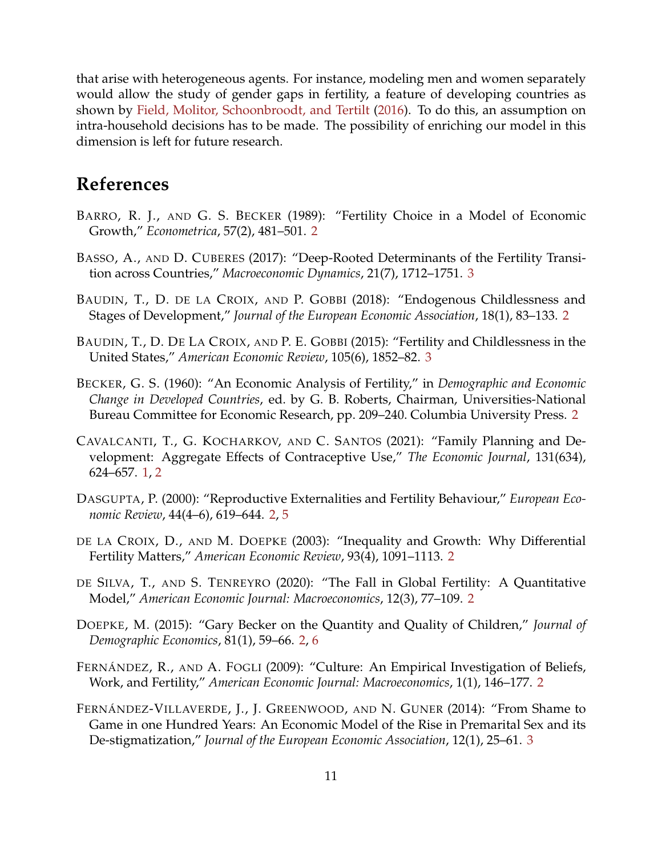<span id="page-10-12"></span>that arise with heterogeneous agents. For instance, modeling men and women separately would allow the study of gender gaps in fertility, a feature of developing countries as shown by [Field, Molitor, Schoonbroodt, and Tertilt](#page-11-11) [\(2016\)](#page-11-11). To do this, an assumption on intra-household decisions has to be made. The possibility of enriching our model in this dimension is left for future research.

# **References**

- <span id="page-10-3"></span>BARRO, R. J., AND G. S. BECKER (1989): "Fertility Choice in a Model of Economic Growth," *Econometrica*, 57(2), 481–501. [2](#page-1-2)
- <span id="page-10-11"></span>BASSO, A., AND D. CUBERES (2017): "Deep-Rooted Determinants of the Fertility Transition across Countries," *Macroeconomic Dynamics*, 21(7), 1712–1751. [3](#page-2-1)
- <span id="page-10-5"></span>BAUDIN, T., D. DE LA CROIX, AND P. GOBBI (2018): "Endogenous Childlessness and Stages of Development," *Journal of the European Economic Association*, 18(1), 83–133. [2](#page-1-2)
- <span id="page-10-9"></span>BAUDIN, T., D. DE LA CROIX, AND P. E. GOBBI (2015): "Fertility and Childlessness in the United States," *American Economic Review*, 105(6), 1852–82. [3](#page-2-1)
- <span id="page-10-7"></span>BECKER, G. S. (1960): "An Economic Analysis of Fertility," in *Demographic and Economic Change in Developed Countries*, ed. by G. B. Roberts, Chairman, Universities-National Bureau Committee for Economic Research, pp. 209–240. Columbia University Press. [2](#page-1-2)
- <span id="page-10-0"></span>CAVALCANTI, T., G. KOCHARKOV, AND C. SANTOS (2021): "Family Planning and Development: Aggregate Effects of Contraceptive Use," *The Economic Journal*, 131(634), 624–657. [1,](#page-0-0) [2](#page-1-2)
- <span id="page-10-1"></span>DASGUPTA, P. (2000): "Reproductive Externalities and Fertility Behaviour," *European Economic Review*, 44(4–6), 619–644. [2,](#page-1-2) [5](#page-4-4)
- <span id="page-10-4"></span>DE LA CROIX, D., AND M. DOEPKE (2003): "Inequality and Growth: Why Differential Fertility Matters," *American Economic Review*, 93(4), 1091–1113. [2](#page-1-2)
- <span id="page-10-8"></span>DE SILVA, T., AND S. TENREYRO (2020): "The Fall in Global Fertility: A Quantitative Model," *American Economic Journal: Macroeconomics*, 12(3), 77–109. [2](#page-1-2)
- <span id="page-10-6"></span>DOEPKE, M. (2015): "Gary Becker on the Quantity and Quality of Children," *Journal of Demographic Economics*, 81(1), 59–66. [2,](#page-1-2) [6](#page-5-3)
- <span id="page-10-2"></span>FERNÁNDEZ, R., AND A. FOGLI (2009): "Culture: An Empirical Investigation of Beliefs, Work, and Fertility," *American Economic Journal: Macroeconomics*, 1(1), 146–177. [2](#page-1-2)
- <span id="page-10-10"></span>FERNÁNDEZ-VILLAVERDE, J., J. GREENWOOD, AND N. GUNER (2014): "From Shame to Game in one Hundred Years: An Economic Model of the Rise in Premarital Sex and its De-stigmatization," *Journal of the European Economic Association*, 12(1), 25–61. [3](#page-2-1)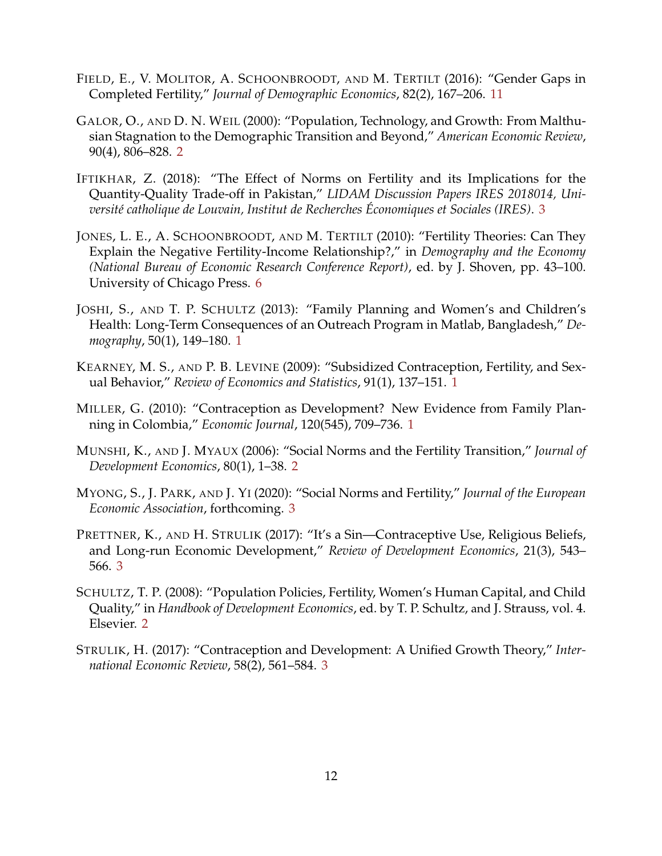- <span id="page-11-11"></span>FIELD, E., V. MOLITOR, A. SCHOONBROODT, AND M. TERTILT (2016): "Gender Gaps in Completed Fertility," *Journal of Demographic Economics*, 82(2), 167–206. [11](#page-10-12)
- <span id="page-11-3"></span>GALOR, O., AND D. N. WEIL (2000): "Population, Technology, and Growth: From Malthusian Stagnation to the Demographic Transition and Beyond," *American Economic Review*, 90(4), 806–828. [2](#page-1-2)
- <span id="page-11-7"></span>IFTIKHAR, Z. (2018): "The Effect of Norms on Fertility and its Implications for the Quantity-Quality Trade-off in Pakistan," *LIDAM Discussion Papers IRES 2018014, Université catholique de Louvain, Institut de Recherches Économiques et Sociales (IRES)*. [3](#page-2-1)
- <span id="page-11-10"></span>JONES, L. E., A. SCHOONBROODT, AND M. TERTILT (2010): "Fertility Theories: Can They Explain the Negative Fertility-Income Relationship?," in *Demography and the Economy (National Bureau of Economic Research Conference Report)*, ed. by J. Shoven, pp. 43–100. University of Chicago Press. [6](#page-5-3)
- <span id="page-11-2"></span>JOSHI, S., AND T. P. SCHULTZ (2013): "Family Planning and Women's and Children's Health: Long-Term Consequences of an Outreach Program in Matlab, Bangladesh," *Demography*, 50(1), 149–180. [1](#page-0-0)
- <span id="page-11-0"></span>KEARNEY, M. S., AND P. B. LEVINE (2009): "Subsidized Contraception, Fertility, and Sexual Behavior," *Review of Economics and Statistics*, 91(1), 137–151. [1](#page-0-0)
- <span id="page-11-1"></span>MILLER, G. (2010): "Contraception as Development? New Evidence from Family Planning in Colombia," *Economic Journal*, 120(545), 709–736. [1](#page-0-0)
- <span id="page-11-4"></span>MUNSHI, K., AND J. MYAUX (2006): "Social Norms and the Fertility Transition," *Journal of Development Economics*, 80(1), 1–38. [2](#page-1-2)
- <span id="page-11-6"></span>MYONG, S., J. PARK, AND J. YI (2020): "Social Norms and Fertility," *Journal of the European Economic Association*, forthcoming. [3](#page-2-1)
- <span id="page-11-9"></span>PRETTNER, K., AND H. STRULIK (2017): "It's a Sin—Contraceptive Use, Religious Beliefs, and Long-run Economic Development," *Review of Development Economics*, 21(3), 543– 566. [3](#page-2-1)
- <span id="page-11-5"></span>SCHULTZ, T. P. (2008): "Population Policies, Fertility, Women's Human Capital, and Child Quality," in *Handbook of Development Economics*, ed. by T. P. Schultz, and J. Strauss, vol. 4. Elsevier. [2](#page-1-2)
- <span id="page-11-8"></span>STRULIK, H. (2017): "Contraception and Development: A Unified Growth Theory," *International Economic Review*, 58(2), 561–584. [3](#page-2-1)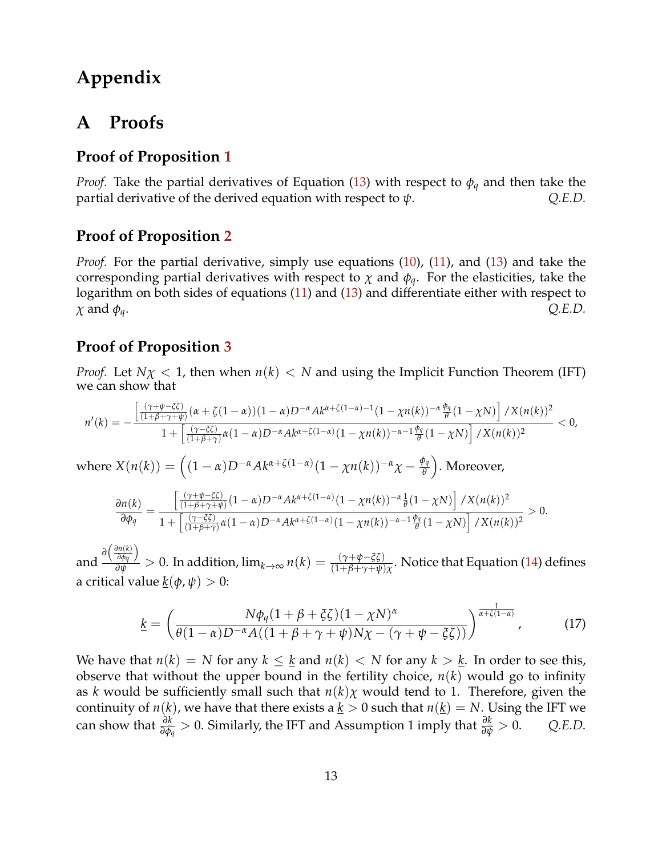# **Appendix**

# <span id="page-12-0"></span>**A Proofs**

### **Proof of Proposition [1](#page-5-4)**

*Proof.* Take the partial derivatives of Equation [\(13\)](#page-5-1) with respect to  $\phi_q$  and then take the partial derivative of the derived equation with respect to  $\psi$ . *Q.E.D.* 

### **Proof of Proposition [2](#page-6-0)**

*Proof.* For the partial derivative, simply use equations [\(10\)](#page-5-1), [\(11\)](#page-5-1), and [\(13\)](#page-5-1) and take the corresponding partial derivatives with respect to  $\chi$  and  $\phi_q$ . For the elasticities, take the logarithm on both sides of equations [\(11\)](#page-5-1) and [\(13\)](#page-5-1) and differentiate either with respect to  $\chi$  and  $\phi_q$ .  $Q.E.D.$ 

### **Proof of Proposition [3](#page-6-1)**

*Proof.* Let  $N\chi$  < 1, then when  $n(k)$  < *N* and using the Implicit Function Theorem (IFT) we can show that

$$
n'(k) = -\frac{\left[\frac{(\gamma+\psi-\xi\zeta)}{(1+\beta+\gamma+\psi)}(\alpha+\zeta(1-\alpha))(1-\alpha)D^{-\alpha}Ak^{\alpha+\zeta(1-\alpha)-1}(1-\chi n(k))^{-\alpha}\frac{\phi_q}{\theta}(1-\chi N)\right]/X(n(k))^2}{1+\left[\frac{(\gamma-\xi\zeta)}{(1+\beta+\gamma)}\alpha(1-\alpha)D^{-\alpha}Ak^{\alpha+\zeta(1-\alpha)}(1-\chi n(k))^{-\alpha-1}\frac{\phi_q}{\theta}(1-\chi N)\right]/X(n(k))^2} < 0,
$$

 $\text{where } X(n(k)) = \left( (1-\alpha)D^{-\alpha}Ak^{\alpha+\zeta(1-\alpha)}(1-\chi n(k))^{-\alpha}\chi - \frac{\phi_q}{\theta}\right)$ *θ* . Moreover,

$$
\frac{\partial n(k)}{\partial \phi_q} = \frac{\left[\frac{(\gamma + \psi - \xi \zeta)}{(1 + \beta + \gamma + \psi)} (1 - \alpha) D^{-\alpha} A k^{\alpha + \zeta (1 - \alpha)} (1 - \chi n(k))^{-\alpha} \frac{1}{\theta} (1 - \chi N) \right] / X(n(k))^2}{1 + \left[\frac{(\gamma - \zeta \zeta)}{(1 + \beta + \gamma)} \alpha (1 - \alpha) D^{-\alpha} A k^{\alpha + \zeta (1 - \alpha)} (1 - \chi n(k))^{-\alpha - 1} \frac{\phi_q}{\theta} (1 - \chi N) \right] / X(n(k))^2} > 0.
$$

and  $\frac{\partial \left( \frac{\partial n(k)}{\partial \phi_q} \right)}{\partial \psi_q}$  $\frac{\partial n(k)}{\partial \phi_q}$  > 0. In addition,  $\lim_{k\to\infty} n(k)=\frac{(\gamma+\psi-\xi\zeta)}{(1+\beta+\gamma+\psi)\chi}$ . Notice that Equation [\(14\)](#page-6-2) defines a critical value  $\underline{k}(\phi, \psi) > 0$ :

<span id="page-12-1"></span>
$$
\underline{k} = \left(\frac{N\phi_q(1+\beta+\xi\zeta)(1-\chi N)^{\alpha}}{\theta(1-\alpha)D^{-\alpha}A((1+\beta+\gamma+\psi)N\chi-(\gamma+\psi-\xi\zeta))}\right)^{\frac{1}{\alpha+\zeta(1-\alpha)}},\tag{17}
$$

We have that  $n(k) = N$  for any  $k \leq k$  and  $n(k) < N$  for any  $k > k$ . In order to see this, observe that without the upper bound in the fertility choice, *n*(*k*) would go to infinity as *k* would be sufficiently small such that  $n(k)\chi$  would tend to 1. Therefore, given the continuity of  $n(k)$ , we have that there exists a  $k > 0$  such that  $n(k) = N$ . Using the IFT we  $\alpha$  can show that  $\frac{\partial k}{\partial \phi_q} > 0$ . Similarly, the IFT and Assumption 1 imply that  $\frac{\partial k}{\partial \psi} > 0$ . *Q.E.D.*